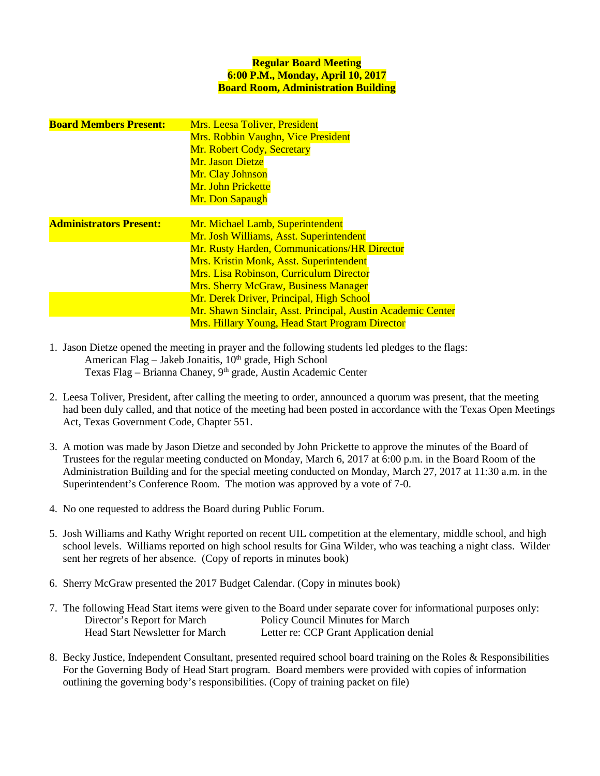## **Regular Board Meeting 6:00 P.M., Monday, April 10, 2017 Board Room, Administration Building**

| <b>Board Members Present:</b>  | Mrs. Leesa Toliver, President                               |  |  |  |  |
|--------------------------------|-------------------------------------------------------------|--|--|--|--|
|                                | <b>Mrs. Robbin Vaughn, Vice President</b>                   |  |  |  |  |
|                                | Mr. Robert Cody, Secretary                                  |  |  |  |  |
|                                | Mr. Jason Dietze                                            |  |  |  |  |
|                                | Mr. Clay Johnson                                            |  |  |  |  |
|                                | Mr. John Prickette                                          |  |  |  |  |
|                                | Mr. Don Sapaugh                                             |  |  |  |  |
|                                |                                                             |  |  |  |  |
| <b>Administrators Present:</b> | Mr. Michael Lamb, Superintendent                            |  |  |  |  |
|                                | Mr. Josh Williams, Asst. Superintendent                     |  |  |  |  |
|                                | Mr. Rusty Harden, Communications/HR Director                |  |  |  |  |
|                                | <b>Mrs. Kristin Monk, Asst. Superintendent</b>              |  |  |  |  |
|                                | <b>Mrs. Lisa Robinson, Curriculum Director</b>              |  |  |  |  |
|                                | <b>Mrs. Sherry McGraw, Business Manager</b>                 |  |  |  |  |
|                                | Mr. Derek Driver, Principal, High School                    |  |  |  |  |
|                                | Mr. Shawn Sinclair, Asst. Principal, Austin Academic Center |  |  |  |  |
|                                | <b>Mrs. Hillary Young, Head Start Program Director</b>      |  |  |  |  |

- 1. Jason Dietze opened the meeting in prayer and the following students led pledges to the flags: American Flag – Jakeb Jonaitis, 10<sup>th</sup> grade, High School Texas Flag – Brianna Chaney, 9<sup>th</sup> grade, Austin Academic Center
- 2. Leesa Toliver, President, after calling the meeting to order, announced a quorum was present, that the meeting had been duly called, and that notice of the meeting had been posted in accordance with the Texas Open Meetings Act, Texas Government Code, Chapter 551.
- 3. A motion was made by Jason Dietze and seconded by John Prickette to approve the minutes of the Board of Trustees for the regular meeting conducted on Monday, March 6, 2017 at 6:00 p.m. in the Board Room of the Administration Building and for the special meeting conducted on Monday, March 27, 2017 at 11:30 a.m. in the Superintendent's Conference Room. The motion was approved by a vote of 7-0.
- 4. No one requested to address the Board during Public Forum.
- 5. Josh Williams and Kathy Wright reported on recent UIL competition at the elementary, middle school, and high school levels. Williams reported on high school results for Gina Wilder, who was teaching a night class. Wilder sent her regrets of her absence. (Copy of reports in minutes book)
- 6. Sherry McGraw presented the 2017 Budget Calendar. (Copy in minutes book)
- 7. The following Head Start items were given to the Board under separate cover for informational purposes only: Director's Report for March Policy Council Minutes for March Head Start Newsletter for March Letter re: CCP Grant Application denial
- 8. Becky Justice, Independent Consultant, presented required school board training on the Roles & Responsibilities For the Governing Body of Head Start program. Board members were provided with copies of information outlining the governing body's responsibilities. (Copy of training packet on file)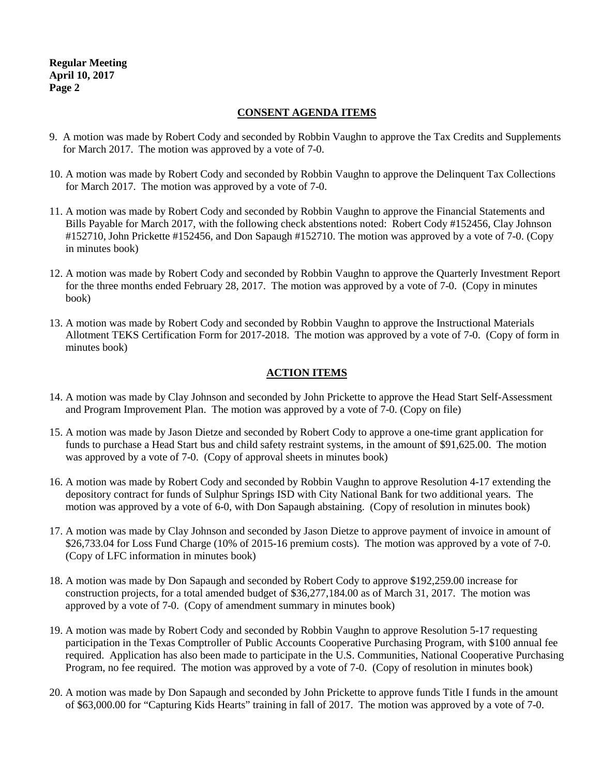**Regular Meeting April 10, 2017 Page 2**

## **CONSENT AGENDA ITEMS**

- 9. A motion was made by Robert Cody and seconded by Robbin Vaughn to approve the Tax Credits and Supplements for March 2017. The motion was approved by a vote of 7-0.
- 10. A motion was made by Robert Cody and seconded by Robbin Vaughn to approve the Delinquent Tax Collections for March 2017. The motion was approved by a vote of 7-0.
- 11. A motion was made by Robert Cody and seconded by Robbin Vaughn to approve the Financial Statements and Bills Payable for March 2017, with the following check abstentions noted: Robert Cody #152456, Clay Johnson #152710, John Prickette #152456, and Don Sapaugh #152710. The motion was approved by a vote of 7-0. (Copy in minutes book)
- 12. A motion was made by Robert Cody and seconded by Robbin Vaughn to approve the Quarterly Investment Report for the three months ended February 28, 2017. The motion was approved by a vote of 7-0. (Copy in minutes book)
- 13. A motion was made by Robert Cody and seconded by Robbin Vaughn to approve the Instructional Materials Allotment TEKS Certification Form for 2017-2018. The motion was approved by a vote of 7-0. (Copy of form in minutes book)

# **ACTION ITEMS**

- 14. A motion was made by Clay Johnson and seconded by John Prickette to approve the Head Start Self-Assessment and Program Improvement Plan. The motion was approved by a vote of 7-0. (Copy on file)
- 15. A motion was made by Jason Dietze and seconded by Robert Cody to approve a one-time grant application for funds to purchase a Head Start bus and child safety restraint systems, in the amount of \$91,625.00. The motion was approved by a vote of 7-0. (Copy of approval sheets in minutes book)
- 16. A motion was made by Robert Cody and seconded by Robbin Vaughn to approve Resolution 4-17 extending the depository contract for funds of Sulphur Springs ISD with City National Bank for two additional years. The motion was approved by a vote of 6-0, with Don Sapaugh abstaining. (Copy of resolution in minutes book)
- 17. A motion was made by Clay Johnson and seconded by Jason Dietze to approve payment of invoice in amount of \$26,733.04 for Loss Fund Charge (10% of 2015-16 premium costs). The motion was approved by a vote of 7-0. (Copy of LFC information in minutes book)
- 18. A motion was made by Don Sapaugh and seconded by Robert Cody to approve \$192,259.00 increase for construction projects, for a total amended budget of \$36,277,184.00 as of March 31, 2017. The motion was approved by a vote of 7-0. (Copy of amendment summary in minutes book)
- 19. A motion was made by Robert Cody and seconded by Robbin Vaughn to approve Resolution 5-17 requesting participation in the Texas Comptroller of Public Accounts Cooperative Purchasing Program, with \$100 annual fee required. Application has also been made to participate in the U.S. Communities, National Cooperative Purchasing Program, no fee required. The motion was approved by a vote of 7-0. (Copy of resolution in minutes book)
- 20. A motion was made by Don Sapaugh and seconded by John Prickette to approve funds Title I funds in the amount of \$63,000.00 for "Capturing Kids Hearts" training in fall of 2017. The motion was approved by a vote of 7-0.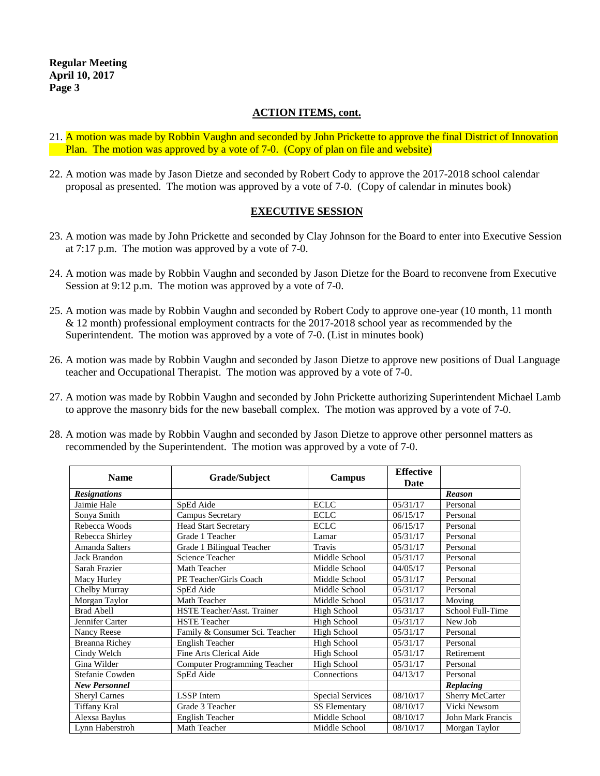## **ACTION ITEMS, cont.**

- 21. A motion was made by Robbin Vaughn and seconded by John Prickette to approve the final District of Innovation Plan. The motion was approved by a vote of 7-0. (Copy of plan on file and website)
- 22. A motion was made by Jason Dietze and seconded by Robert Cody to approve the 2017-2018 school calendar proposal as presented. The motion was approved by a vote of 7-0. (Copy of calendar in minutes book)

## **EXECUTIVE SESSION**

- 23. A motion was made by John Prickette and seconded by Clay Johnson for the Board to enter into Executive Session at 7:17 p.m. The motion was approved by a vote of 7-0.
- 24. A motion was made by Robbin Vaughn and seconded by Jason Dietze for the Board to reconvene from Executive Session at 9:12 p.m. The motion was approved by a vote of 7-0.
- 25. A motion was made by Robbin Vaughn and seconded by Robert Cody to approve one-year (10 month, 11 month  $& 12$  month) professional employment contracts for the 2017-2018 school year as recommended by the Superintendent. The motion was approved by a vote of 7-0. (List in minutes book)
- 26. A motion was made by Robbin Vaughn and seconded by Jason Dietze to approve new positions of Dual Language teacher and Occupational Therapist. The motion was approved by a vote of 7-0.
- 27. A motion was made by Robbin Vaughn and seconded by John Prickette authorizing Superintendent Michael Lamb to approve the masonry bids for the new baseball complex. The motion was approved by a vote of 7-0.

| <b>Name</b>           | Grade/Subject                  | Campus                  | <b>Effective</b><br>Date |                   |
|-----------------------|--------------------------------|-------------------------|--------------------------|-------------------|
| <b>Resignations</b>   |                                |                         |                          | <b>Reason</b>     |
| Jaimie Hale           | SpEd Aide                      | <b>ECLC</b>             | 05/31/17                 | Personal          |
| Sonya Smith           | <b>Campus Secretary</b>        | <b>ECLC</b>             | 06/15/17                 | Personal          |
| Rebecca Woods         | <b>Head Start Secretary</b>    | <b>ECLC</b>             | 06/15/17                 | Personal          |
| Rebecca Shirley       | Grade 1 Teacher                | Lamar                   | 05/31/17                 | Personal          |
| Amanda Salters        | Grade 1 Bilingual Teacher      | <b>Travis</b>           | 05/31/17                 | Personal          |
| <b>Jack Brandon</b>   | Science Teacher                | Middle School           | 05/31/17                 | Personal          |
| Sarah Frazier         | Math Teacher                   | Middle School           | 04/05/17                 | Personal          |
| Macy Hurley           | PE Teacher/Girls Coach         | Middle School           | 05/31/17                 | Personal          |
| Chelby Murray         | SpEd Aide                      | Middle School           | 05/31/17                 | Personal          |
| Morgan Taylor         | Math Teacher                   | Middle School           | 05/31/17                 | Moving            |
| <b>Brad Abell</b>     | HSTE Teacher/Asst. Trainer     | High School             | 05/31/17                 | School Full-Time  |
| Jennifer Carter       | <b>HSTE</b> Teacher            | High School             | 05/31/17                 | New Job           |
| Nancy Reese           | Family & Consumer Sci. Teacher | High School             | 05/31/17                 | Personal          |
| <b>Breanna Richey</b> | <b>English Teacher</b>         | High School             | 05/31/17                 | Personal          |
| Cindy Welch           | Fine Arts Clerical Aide        | High School             | 05/31/17                 | Retirement        |
| Gina Wilder           | Computer Programming Teacher   | High School             | 05/31/17                 | Personal          |
| Stefanie Cowden       | SpEd Aide                      | Connections             | 04/13/17                 | Personal          |
| <b>New Personnel</b>  |                                |                         |                          | Replacing         |
| <b>Sheryl Carnes</b>  | <b>LSSP</b> Intern             | <b>Special Services</b> | 08/10/17                 | Sherry McCarter   |
| Tiffany Kral          | Grade 3 Teacher                | <b>SS Elementary</b>    | 08/10/17                 | Vicki Newsom      |
| Alexsa Baylus         | <b>English Teacher</b>         | Middle School           | 08/10/17                 | John Mark Francis |
| Lynn Haberstroh       | Math Teacher                   | Middle School           | 08/10/17                 | Morgan Taylor     |

28. A motion was made by Robbin Vaughn and seconded by Jason Dietze to approve other personnel matters as recommended by the Superintendent. The motion was approved by a vote of 7-0.